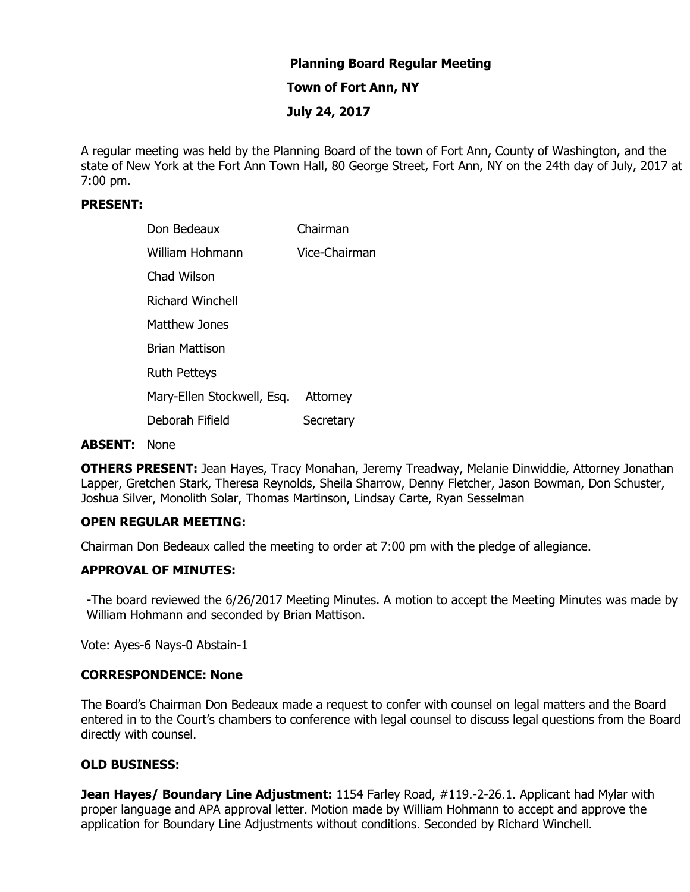# **Planning Board Regular Meeting**

#### **Town of Fort Ann, NY**

## **July 24, 2017**

A regular meeting was held by the Planning Board of the town of Fort Ann, County of Washington, and the state of New York at the Fort Ann Town Hall, 80 George Street, Fort Ann, NY on the 24th day of July, 2017 at 7:00 pm.

#### **PRESENT:**

| Don Bedeaux                | Chairman      |
|----------------------------|---------------|
| William Hohmann            | Vice-Chairman |
| Chad Wilson                |               |
| Richard Winchell           |               |
| Matthew Jones              |               |
| <b>Brian Mattison</b>      |               |
| <b>Ruth Petteys</b>        |               |
| Mary-Ellen Stockwell, Esq. | Attorney      |
| Deborah Fifield            | Secretary     |

#### **ABSENT:** None

**OTHERS PRESENT:** Jean Hayes, Tracy Monahan, Jeremy Treadway, Melanie Dinwiddie, Attorney Jonathan Lapper, Gretchen Stark, Theresa Reynolds, Sheila Sharrow, Denny Fletcher, Jason Bowman, Don Schuster, Joshua Silver, Monolith Solar, Thomas Martinson, Lindsay Carte, Ryan Sesselman

#### **OPEN REGULAR MEETING:**

Chairman Don Bedeaux called the meeting to order at 7:00 pm with the pledge of allegiance.

### **APPROVAL OF MINUTES:**

-The board reviewed the 6/26/2017 Meeting Minutes. A motion to accept the Meeting Minutes was made by William Hohmann and seconded by Brian Mattison.

Vote: Ayes-6 Nays-0 Abstain-1

#### **CORRESPONDENCE: None**

The Board's Chairman Don Bedeaux made a request to confer with counsel on legal matters and the Board entered in to the Court's chambers to conference with legal counsel to discuss legal questions from the Board directly with counsel.

#### **OLD BUSINESS:**

**Jean Hayes/ Boundary Line Adjustment:** 1154 Farley Road, #119.-2-26.1. Applicant had Mylar with proper language and APA approval letter. Motion made by William Hohmann to accept and approve the application for Boundary Line Adjustments without conditions. Seconded by Richard Winchell.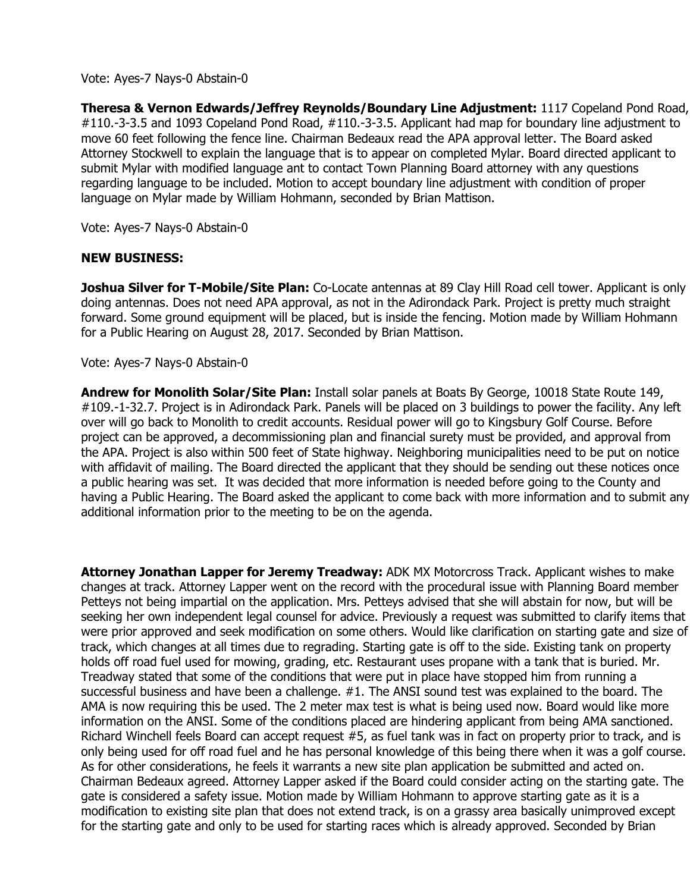Vote: Ayes-7 Nays-0 Abstain-0

**Theresa & Vernon Edwards/Jeffrey Reynolds/Boundary Line Adjustment:** 1117 Copeland Pond Road, #110.-3-3.5 and 1093 Copeland Pond Road, #110.-3-3.5. Applicant had map for boundary line adjustment to move 60 feet following the fence line. Chairman Bedeaux read the APA approval letter. The Board asked Attorney Stockwell to explain the language that is to appear on completed Mylar. Board directed applicant to submit Mylar with modified language ant to contact Town Planning Board attorney with any questions regarding language to be included. Motion to accept boundary line adjustment with condition of proper language on Mylar made by William Hohmann, seconded by Brian Mattison.

Vote: Ayes-7 Nays-0 Abstain-0

## **NEW BUSINESS:**

**Joshua Silver for T-Mobile/Site Plan:** Co-Locate antennas at 89 Clay Hill Road cell tower. Applicant is only doing antennas. Does not need APA approval, as not in the Adirondack Park. Project is pretty much straight forward. Some ground equipment will be placed, but is inside the fencing. Motion made by William Hohmann for a Public Hearing on August 28, 2017. Seconded by Brian Mattison.

Vote: Ayes-7 Nays-0 Abstain-0

**Andrew for Monolith Solar/Site Plan:** Install solar panels at Boats By George, 10018 State Route 149, #109.-1-32.7. Project is in Adirondack Park. Panels will be placed on 3 buildings to power the facility. Any left over will go back to Monolith to credit accounts. Residual power will go to Kingsbury Golf Course. Before project can be approved, a decommissioning plan and financial surety must be provided, and approval from the APA. Project is also within 500 feet of State highway. Neighboring municipalities need to be put on notice with affidavit of mailing. The Board directed the applicant that they should be sending out these notices once a public hearing was set. It was decided that more information is needed before going to the County and having a Public Hearing. The Board asked the applicant to come back with more information and to submit any additional information prior to the meeting to be on the agenda.

**Attorney Jonathan Lapper for Jeremy Treadway:** ADK MX Motorcross Track. Applicant wishes to make changes at track. Attorney Lapper went on the record with the procedural issue with Planning Board member Petteys not being impartial on the application. Mrs. Petteys advised that she will abstain for now, but will be seeking her own independent legal counsel for advice. Previously a request was submitted to clarify items that were prior approved and seek modification on some others. Would like clarification on starting gate and size of track, which changes at all times due to regrading. Starting gate is off to the side. Existing tank on property holds off road fuel used for mowing, grading, etc. Restaurant uses propane with a tank that is buried. Mr. Treadway stated that some of the conditions that were put in place have stopped him from running a successful business and have been a challenge. #1. The ANSI sound test was explained to the board. The AMA is now requiring this be used. The 2 meter max test is what is being used now. Board would like more information on the ANSI. Some of the conditions placed are hindering applicant from being AMA sanctioned. Richard Winchell feels Board can accept request #5, as fuel tank was in fact on property prior to track, and is only being used for off road fuel and he has personal knowledge of this being there when it was a golf course. As for other considerations, he feels it warrants a new site plan application be submitted and acted on. Chairman Bedeaux agreed. Attorney Lapper asked if the Board could consider acting on the starting gate. The gate is considered a safety issue. Motion made by William Hohmann to approve starting gate as it is a modification to existing site plan that does not extend track, is on a grassy area basically unimproved except for the starting gate and only to be used for starting races which is already approved. Seconded by Brian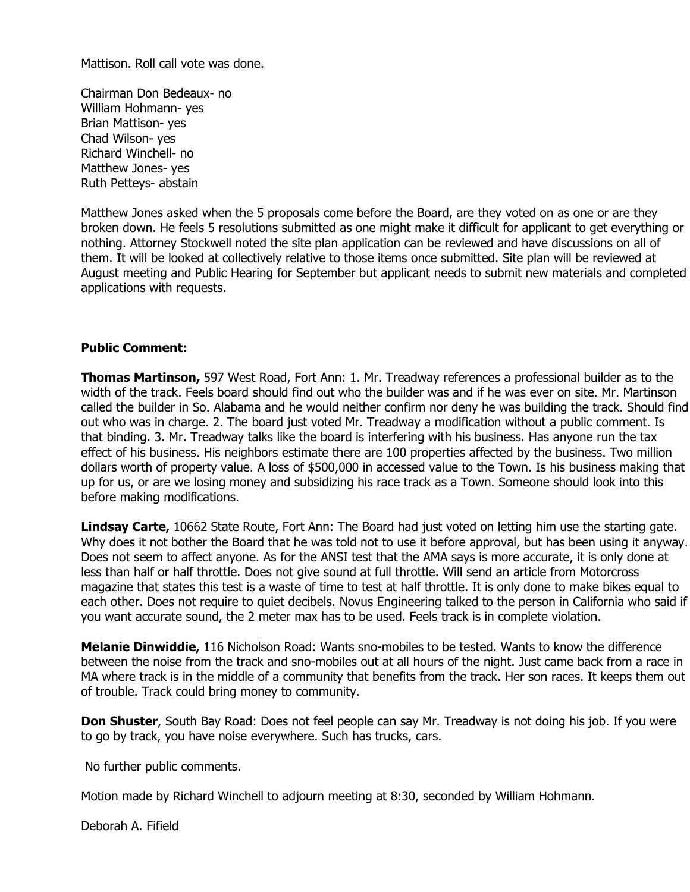Mattison. Roll call vote was done.

Chairman Don Bedeaux- no William Hohmann- yes Brian Mattison- yes Chad Wilson- yes Richard Winchell- no Matthew Jones- yes Ruth Petteys- abstain

Matthew Jones asked when the 5 proposals come before the Board, are they voted on as one or are they broken down. He feels 5 resolutions submitted as one might make it difficult for applicant to get everything or nothing. Attorney Stockwell noted the site plan application can be reviewed and have discussions on all of them. It will be looked at collectively relative to those items once submitted. Site plan will be reviewed at August meeting and Public Hearing for September but applicant needs to submit new materials and completed applications with requests.

## **Public Comment:**

**Thomas Martinson,** 597 West Road, Fort Ann: 1. Mr. Treadway references a professional builder as to the width of the track. Feels board should find out who the builder was and if he was ever on site. Mr. Martinson called the builder in So. Alabama and he would neither confirm nor deny he was building the track. Should find out who was in charge. 2. The board just voted Mr. Treadway a modification without a public comment. Is that binding. 3. Mr. Treadway talks like the board is interfering with his business. Has anyone run the tax effect of his business. His neighbors estimate there are 100 properties affected by the business. Two million dollars worth of property value. A loss of \$500,000 in accessed value to the Town. Is his business making that up for us, or are we losing money and subsidizing his race track as a Town. Someone should look into this before making modifications.

**Lindsay Carte,** 10662 State Route, Fort Ann: The Board had just voted on letting him use the starting gate. Why does it not bother the Board that he was told not to use it before approval, but has been using it anyway. Does not seem to affect anyone. As for the ANSI test that the AMA says is more accurate, it is only done at less than half or half throttle. Does not give sound at full throttle. Will send an article from Motorcross magazine that states this test is a waste of time to test at half throttle. It is only done to make bikes equal to each other. Does not require to quiet decibels. Novus Engineering talked to the person in California who said if you want accurate sound, the 2 meter max has to be used. Feels track is in complete violation.

**Melanie Dinwiddie,** 116 Nicholson Road: Wants sno-mobiles to be tested. Wants to know the difference between the noise from the track and sno-mobiles out at all hours of the night. Just came back from a race in MA where track is in the middle of a community that benefits from the track. Her son races. It keeps them out of trouble. Track could bring money to community.

**Don Shuster**, South Bay Road: Does not feel people can say Mr. Treadway is not doing his job. If you were to go by track, you have noise everywhere. Such has trucks, cars.

No further public comments.

Motion made by Richard Winchell to adjourn meeting at 8:30, seconded by William Hohmann.

Deborah A. Fifield